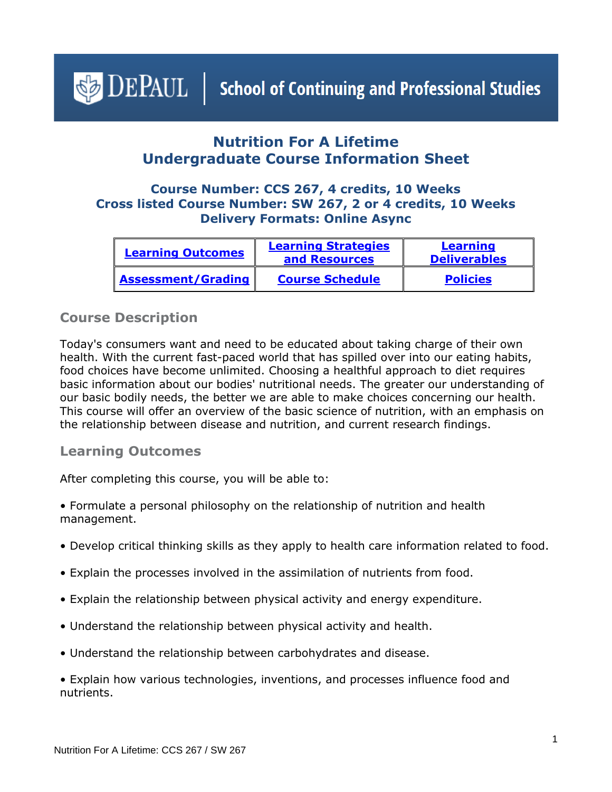# <span id="page-0-1"></span> $\bigcirc$  DEPAUL | School of Continuing and Professional Studies

# **Nutrition For A Lifetime Undergraduate Course Information Sheet**

#### **Course Number: CCS 267, 4 credits, 10 Weeks Cross listed Course Number: SW 267, 2 or 4 credits, 10 Weeks Delivery Formats: Online Async**

| <b>Learning Outcomes</b>  | <b>Learning Strategies</b><br>and Resources | <b>Learning</b><br><b>Deliverables</b> |
|---------------------------|---------------------------------------------|----------------------------------------|
| <b>Assessment/Grading</b> | <b>Course Schedule</b>                      | <b>Policies</b>                        |

#### **Course Description**

Today's consumers want and need to be educated about taking charge of their own health. With the current fast-paced world that has spilled over into our eating habits, food choices have become unlimited. Choosing a healthful approach to diet requires basic information about our bodies' nutritional needs. The greater our understanding of our basic bodily needs, the better we are able to make choices concerning our health. This course will offer an overview of the basic science of nutrition, with an emphasis on the relationship between disease and nutrition, and current research findings.

#### <span id="page-0-0"></span>**Learning Outcomes**

After completing this course, you will be able to:

- Formulate a personal philosophy on the relationship of nutrition and health management.
- Develop critical thinking skills as they apply to health care information related to food.
- Explain the processes involved in the assimilation of nutrients from food.
- Explain the relationship between physical activity and energy expenditure.
- Understand the relationship between physical activity and health.
- Understand the relationship between carbohydrates and disease.
- Explain how various technologies, inventions, and processes influence food and nutrients.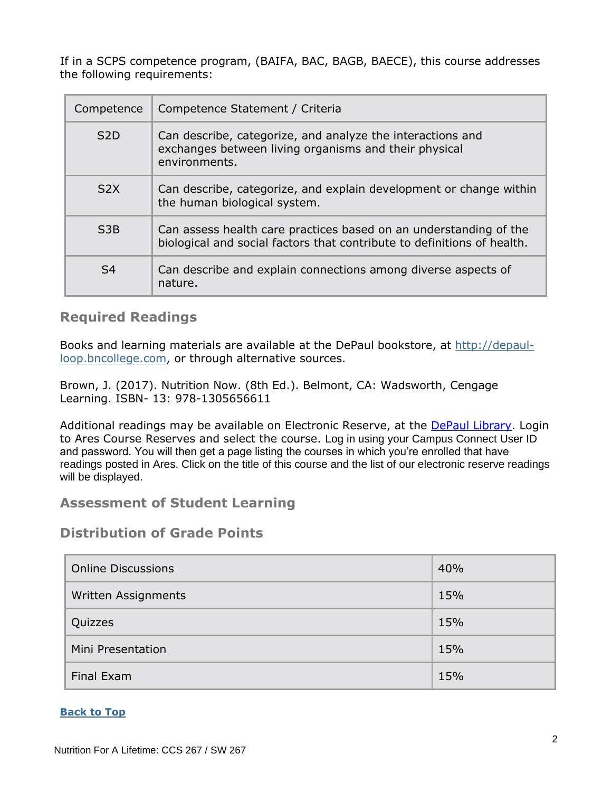If in a SCPS competence program, (BAIFA, BAC, BAGB, BAECE), this course addresses the following requirements:

| Competence       | Competence Statement / Criteria                                                                                                              |
|------------------|----------------------------------------------------------------------------------------------------------------------------------------------|
| S <sub>2</sub> D | Can describe, categorize, and analyze the interactions and<br>exchanges between living organisms and their physical<br>environments.         |
| S2X              | Can describe, categorize, and explain development or change within<br>the human biological system.                                           |
| S <sub>3</sub> B | Can assess health care practices based on an understanding of the<br>biological and social factors that contribute to definitions of health. |
| S <sub>4</sub>   | Can describe and explain connections among diverse aspects of<br>nature.                                                                     |

#### <span id="page-1-0"></span>**Required Readings**

Books and learning materials are available at the DePaul bookstore, at [http://depaul](http://depaul-loop.bncollege.com/)[loop.bncollege.com,](http://depaul-loop.bncollege.com/) or through alternative sources.

Brown, J. (2017). Nutrition Now. (8th Ed.). Belmont, CA: Wadsworth, Cengage Learning. ISBN- 13: 978-1305656611

Additional readings may be available on Electronic Reserve, at the [DePaul Library.](https://library.depaul.edu/services/Pages/Course-Reserves-Services.aspx) Login to Ares Course Reserves and select the course. Log in using your Campus Connect User ID and password. You will then get a page listing the courses in which you're enrolled that have readings posted in Ares. Click on the title of this course and the list of our electronic reserve readings will be displayed.

#### <span id="page-1-1"></span>**Assessment of Student Learning**

#### **Distribution of Grade Points**

| <b>Online Discussions</b> | 40% |
|---------------------------|-----|
| Written Assignments       | 15% |
| Quizzes                   | 15% |
| Mini Presentation         | 15% |
| Final Exam                | 15% |

#### **[Back to Top](#page-0-1)**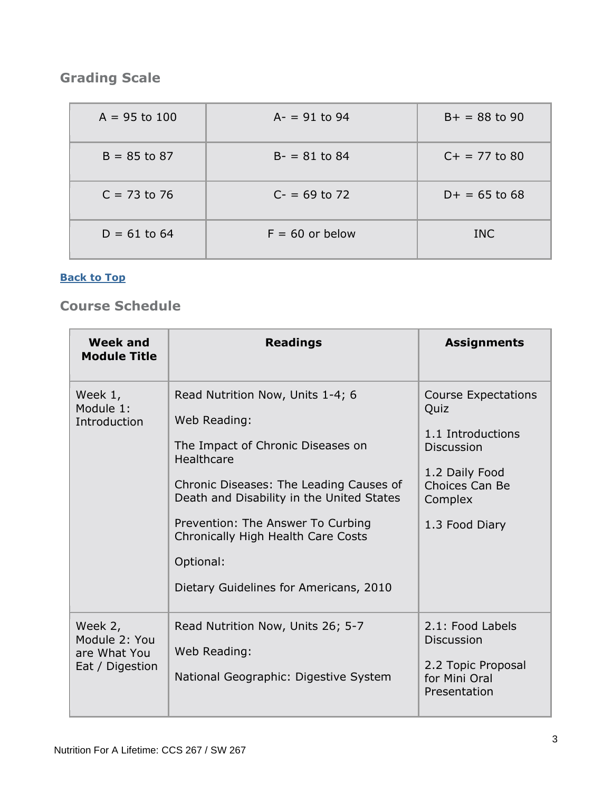# **Grading Scale**

| $A = 95$ to 100 | $A - = 91$ to 94  | $B+ = 88$ to 90 |
|-----------------|-------------------|-----------------|
| $B = 85$ to 87  | $B - 81$ to 84    | $C+ = 77$ to 80 |
| $C = 73$ to 76  | $C = 69$ to 72    | $D+ = 65$ to 68 |
| $D = 61$ to 64  | $F = 60$ or below | <b>INC</b>      |

#### **[Back to Top](#page-0-1)**

## <span id="page-2-0"></span>**Course Schedule**

| Week and<br><b>Module Title</b>                             | <b>Readings</b>                                                                                                                                                                                                                                                                                                               | <b>Assignments</b>                                                                                                                            |
|-------------------------------------------------------------|-------------------------------------------------------------------------------------------------------------------------------------------------------------------------------------------------------------------------------------------------------------------------------------------------------------------------------|-----------------------------------------------------------------------------------------------------------------------------------------------|
| Week 1,<br>Module 1:<br>Introduction                        | Read Nutrition Now, Units 1-4; 6<br>Web Reading:<br>The Impact of Chronic Diseases on<br>Healthcare<br>Chronic Diseases: The Leading Causes of<br>Death and Disability in the United States<br>Prevention: The Answer To Curbing<br>Chronically High Health Care Costs<br>Optional:<br>Dietary Guidelines for Americans, 2010 | <b>Course Expectations</b><br>Quiz<br>1.1 Introductions<br><b>Discussion</b><br>1.2 Daily Food<br>Choices Can Be<br>Complex<br>1.3 Food Diary |
| Week 2,<br>Module 2: You<br>are What You<br>Eat / Digestion | Read Nutrition Now, Units 26; 5-7<br>Web Reading:<br>National Geographic: Digestive System                                                                                                                                                                                                                                    | 2.1: Food Labels<br><b>Discussion</b><br>2.2 Topic Proposal<br>for Mini Oral<br>Presentation                                                  |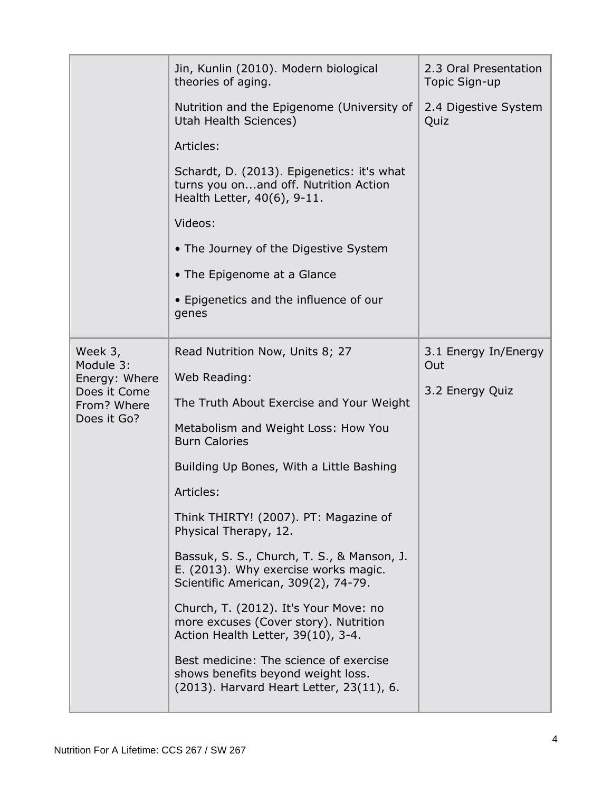|                             | Jin, Kunlin (2010). Modern biological<br>theories of aging.                                                               | 2.3 Oral Presentation<br>Topic Sign-up |
|-----------------------------|---------------------------------------------------------------------------------------------------------------------------|----------------------------------------|
|                             | Nutrition and the Epigenome (University of<br>Utah Health Sciences)                                                       | 2.4 Digestive System<br>Quiz           |
|                             | Articles:                                                                                                                 |                                        |
|                             | Schardt, D. (2013). Epigenetics: it's what<br>turns you onand off. Nutrition Action<br>Health Letter, 40(6), 9-11.        |                                        |
|                             | Videos:                                                                                                                   |                                        |
|                             | • The Journey of the Digestive System                                                                                     |                                        |
|                             | • The Epigenome at a Glance                                                                                               |                                        |
|                             | • Epigenetics and the influence of our<br>genes                                                                           |                                        |
| Week 3,                     | Read Nutrition Now, Units 8; 27                                                                                           | 3.1 Energy In/Energy                   |
| Module 3:<br>Energy: Where  | Web Reading:                                                                                                              | Out                                    |
| Does it Come<br>From? Where | The Truth About Exercise and Your Weight                                                                                  | 3.2 Energy Quiz                        |
| Does it Go?                 | Metabolism and Weight Loss: How You<br><b>Burn Calories</b>                                                               |                                        |
|                             | Building Up Bones, With a Little Bashing                                                                                  |                                        |
|                             | Articles:                                                                                                                 |                                        |
|                             | Think THIRTY! (2007). PT: Magazine of<br>Physical Therapy, 12.                                                            |                                        |
|                             | Bassuk, S. S., Church, T. S., & Manson, J.<br>E. (2013). Why exercise works magic.<br>Scientific American, 309(2), 74-79. |                                        |
|                             | Church, T. (2012). It's Your Move: no<br>more excuses (Cover story). Nutrition<br>Action Health Letter, 39(10), 3-4.      |                                        |
|                             | Best medicine: The science of exercise<br>shows benefits beyond weight loss.<br>(2013). Harvard Heart Letter, 23(11), 6.  |                                        |
|                             |                                                                                                                           |                                        |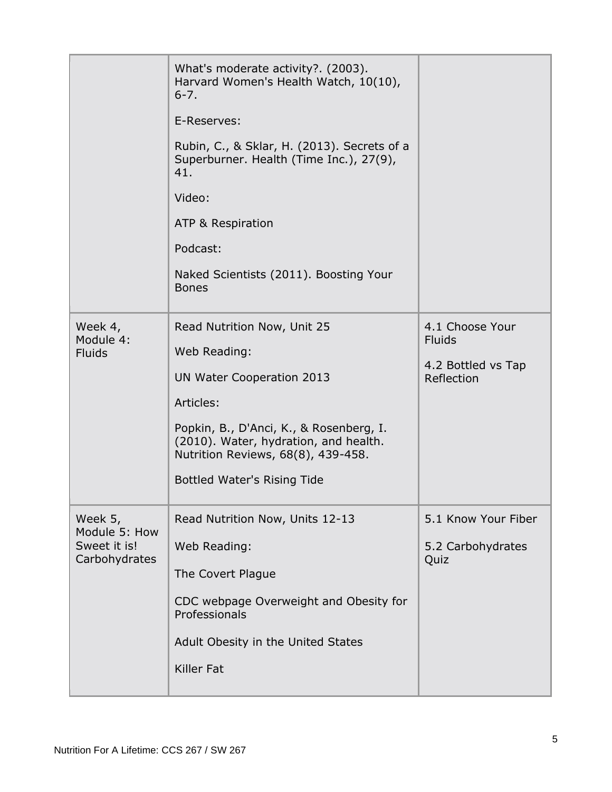|                                                           | What's moderate activity?. (2003).<br>Harvard Women's Health Watch, 10(10),<br>$6 - 7.$                                |                                  |
|-----------------------------------------------------------|------------------------------------------------------------------------------------------------------------------------|----------------------------------|
|                                                           | E-Reserves:                                                                                                            |                                  |
|                                                           | Rubin, C., & Sklar, H. (2013). Secrets of a<br>Superburner. Health (Time Inc.), 27(9),<br>41.                          |                                  |
|                                                           | Video:                                                                                                                 |                                  |
|                                                           | ATP & Respiration                                                                                                      |                                  |
|                                                           | Podcast:                                                                                                               |                                  |
|                                                           | Naked Scientists (2011). Boosting Your<br><b>Bones</b>                                                                 |                                  |
| Week 4,<br>Module 4:                                      | Read Nutrition Now, Unit 25                                                                                            | 4.1 Choose Your<br><b>Fluids</b> |
| <b>Fluids</b>                                             | Web Reading:                                                                                                           | 4.2 Bottled vs Tap               |
|                                                           | UN Water Cooperation 2013                                                                                              | Reflection                       |
|                                                           | Articles:                                                                                                              |                                  |
|                                                           | Popkin, B., D'Anci, K., & Rosenberg, I.<br>(2010). Water, hydration, and health.<br>Nutrition Reviews, 68(8), 439-458. |                                  |
|                                                           | <b>Bottled Water's Rising Tide</b>                                                                                     |                                  |
| Week 5,<br>Module 5: How<br>Sweet it is!<br>Carbohydrates | Read Nutrition Now, Units 12-13                                                                                        | 5.1 Know Your Fiber              |
|                                                           | Web Reading:                                                                                                           | 5.2 Carbohydrates                |
|                                                           | The Covert Plague                                                                                                      | Quiz                             |
|                                                           | CDC webpage Overweight and Obesity for<br>Professionals                                                                |                                  |
|                                                           | Adult Obesity in the United States                                                                                     |                                  |
|                                                           | <b>Killer Fat</b>                                                                                                      |                                  |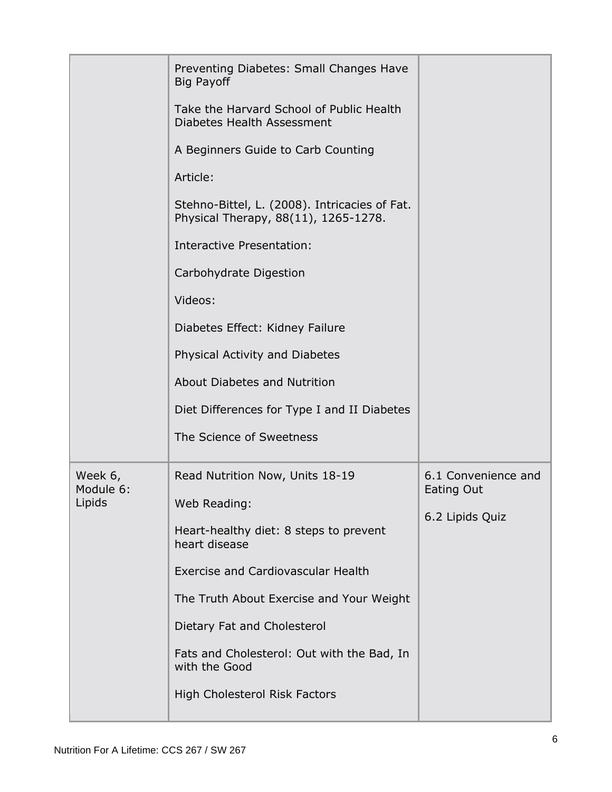|                                | Preventing Diabetes: Small Changes Have<br><b>Big Payoff</b><br>Take the Harvard School of Public Health<br>Diabetes Health Assessment<br>A Beginners Guide to Carb Counting<br>Article:<br>Stehno-Bittel, L. (2008). Intricacies of Fat.<br>Physical Therapy, 88(11), 1265-1278.<br>Interactive Presentation:<br>Carbohydrate Digestion<br>Videos:<br>Diabetes Effect: Kidney Failure<br>Physical Activity and Diabetes<br>About Diabetes and Nutrition |                                                      |
|--------------------------------|----------------------------------------------------------------------------------------------------------------------------------------------------------------------------------------------------------------------------------------------------------------------------------------------------------------------------------------------------------------------------------------------------------------------------------------------------------|------------------------------------------------------|
|                                | Diet Differences for Type I and II Diabetes<br>The Science of Sweetness                                                                                                                                                                                                                                                                                                                                                                                  |                                                      |
| Week 6,<br>Module 6:<br>Lipids | Read Nutrition Now, Units 18-19<br>Web Reading:<br>Heart-healthy diet: 8 steps to prevent<br>heart disease<br><b>Exercise and Cardiovascular Health</b><br>The Truth About Exercise and Your Weight<br>Dietary Fat and Cholesterol<br>Fats and Cholesterol: Out with the Bad, In<br>with the Good<br>High Cholesterol Risk Factors                                                                                                                       | 6.1 Convenience and<br>Eating Out<br>6.2 Lipids Quiz |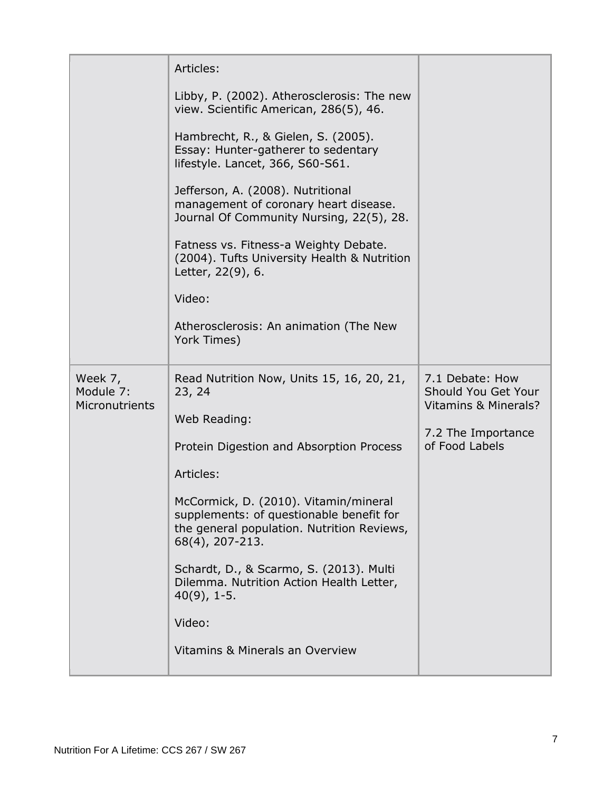|                      | Articles:                                                                                                                                          |                                        |
|----------------------|----------------------------------------------------------------------------------------------------------------------------------------------------|----------------------------------------|
|                      | Libby, P. (2002). Atherosclerosis: The new<br>view. Scientific American, 286(5), 46.                                                               |                                        |
|                      | Hambrecht, R., & Gielen, S. (2005).<br>Essay: Hunter-gatherer to sedentary<br>lifestyle. Lancet, 366, S60-S61.                                     |                                        |
|                      | Jefferson, A. (2008). Nutritional<br>management of coronary heart disease.<br>Journal Of Community Nursing, 22(5), 28.                             |                                        |
|                      | Fatness vs. Fitness-a Weighty Debate.<br>(2004). Tufts University Health & Nutrition<br>Letter, 22(9), 6.                                          |                                        |
|                      | Video:                                                                                                                                             |                                        |
|                      | Atherosclerosis: An animation (The New<br>York Times)                                                                                              |                                        |
| Week 7,<br>Module 7: | Read Nutrition Now, Units 15, 16, 20, 21,<br>23, 24                                                                                                | 7.1 Debate: How<br>Should You Get Your |
| Micronutrients       | Web Reading:                                                                                                                                       | Vitamins & Minerals?                   |
|                      | Protein Digestion and Absorption Process                                                                                                           | 7.2 The Importance<br>of Food Labels   |
|                      | Articles:                                                                                                                                          |                                        |
|                      | McCormick, D. (2010). Vitamin/mineral<br>supplements: of questionable benefit for<br>the general population. Nutrition Reviews,<br>68(4), 207-213. |                                        |
|                      | Schardt, D., & Scarmo, S. (2013). Multi<br>Dilemma. Nutrition Action Health Letter,<br>$40(9)$ , 1-5.                                              |                                        |
|                      | Video:                                                                                                                                             |                                        |
|                      | Vitamins & Minerals an Overview                                                                                                                    |                                        |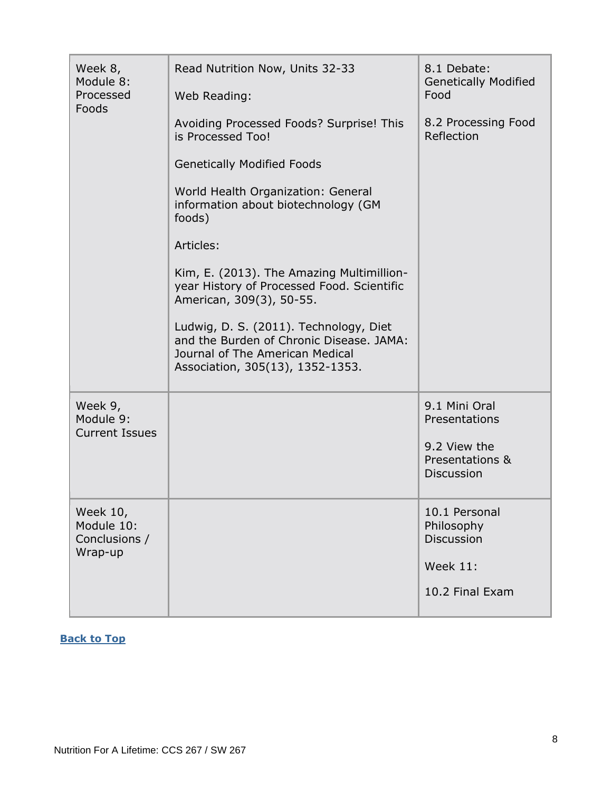| Week 8,<br>Module 8:<br>Processed<br>Foods         | Read Nutrition Now, Units 32-33<br>Web Reading:                                                                                                           | 8.1 Debate:<br><b>Genetically Modified</b><br>Food   |
|----------------------------------------------------|-----------------------------------------------------------------------------------------------------------------------------------------------------------|------------------------------------------------------|
|                                                    | Avoiding Processed Foods? Surprise! This<br>is Processed Too!                                                                                             | 8.2 Processing Food<br>Reflection                    |
|                                                    | <b>Genetically Modified Foods</b>                                                                                                                         |                                                      |
|                                                    | World Health Organization: General<br>information about biotechnology (GM<br>foods)                                                                       |                                                      |
|                                                    | Articles:                                                                                                                                                 |                                                      |
|                                                    | Kim, E. (2013). The Amazing Multimillion-<br>year History of Processed Food. Scientific<br>American, 309(3), 50-55.                                       |                                                      |
|                                                    | Ludwig, D. S. (2011). Technology, Diet<br>and the Burden of Chronic Disease. JAMA:<br>Journal of The American Medical<br>Association, 305(13), 1352-1353. |                                                      |
| Week 9,<br>Module 9:<br><b>Current Issues</b>      |                                                                                                                                                           | 9.1 Mini Oral<br>Presentations                       |
|                                                    |                                                                                                                                                           | 9.2 View the<br>Presentations &<br><b>Discussion</b> |
| Week 10,<br>Module 10:<br>Conclusions /<br>Wrap-up |                                                                                                                                                           | 10.1 Personal<br>Philosophy<br><b>Discussion</b>     |
|                                                    |                                                                                                                                                           | <b>Week 11:</b>                                      |
|                                                    |                                                                                                                                                           | 10.2 Final Exam                                      |

#### <span id="page-7-0"></span>**[Back to Top](#page-0-1)**